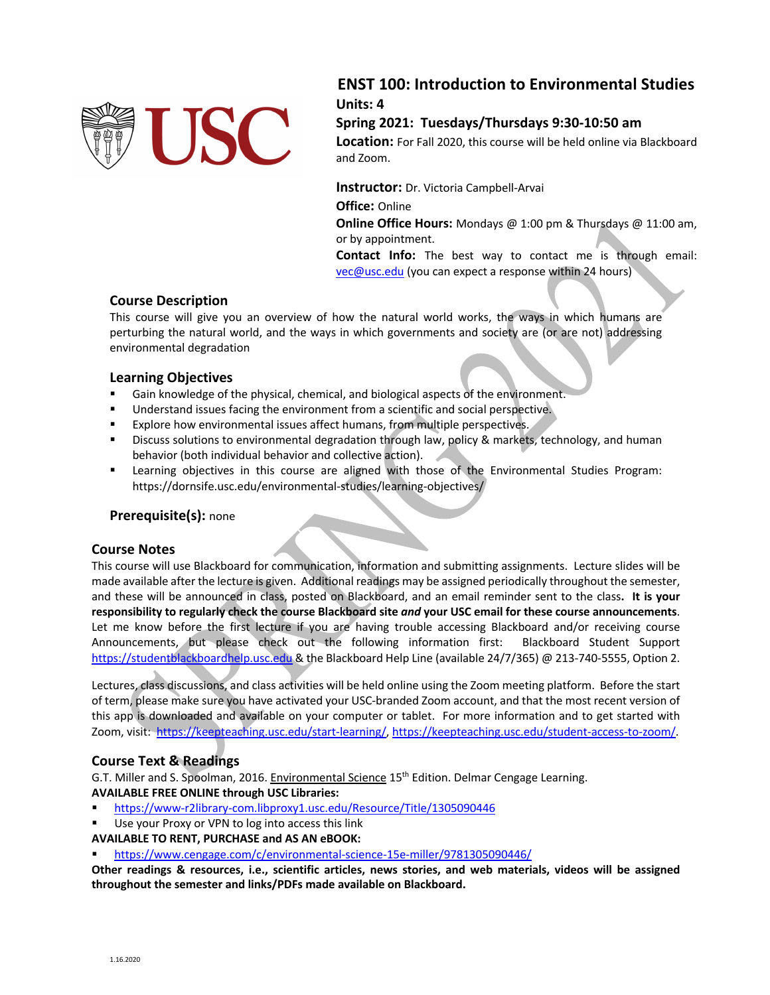

# **ENST 100: Introduction to Environmental Studies Units: 4**

# **Spring 2021: Tuesdays/Thursdays 9:30-10:50 am**

**Location:** For Fall 2020, this course will be held online via Blackboard and Zoom.

**Instructor:** Dr. Victoria Campbell-Arvai **Office:** Online

**Online Office Hours:** Mondays @ 1:00 pm & Thursdays @ 11:00 am, or by appointment.

**Contact Info:** The best way to contact me is through email: vec@usc.edu (you can expect a response within 24 hours)

# **Course Description**

This course will give you an overview of how the natural world works, the ways in which humans are perturbing the natural world, and the ways in which governments and society are (or are not) addressing environmental degradation

# **Learning Objectives**

- Gain knowledge of the physical, chemical, and biological aspects of the environment.
- Understand issues facing the environment from a scientific and social perspective.
- Explore how environmental issues affect humans, from multiple perspectives.
- **•** Discuss solutions to environmental degradation through law, policy & markets, technology, and human behavior (both individual behavior and collective action).
- § Learning objectives in this course are aligned with those of the Environmental Studies Program: https://dornsife.usc.edu/environmental-studies/learning-objectives/

# **Prerequisite(s):** none

# **Course Notes**

This course will use Blackboard for communication, information and submitting assignments. Lecture slides will be made available after the lecture is given. Additional readings may be assigned periodically throughout the semester, and these will be announced in class, posted on Blackboard, and an email reminder sent to the class**. It is your responsibility to regularly check the course Blackboard site** *and* **your USC email for these course announcements**. Let me know before the first lecture if you are having trouble accessing Blackboard and/or receiving course Announcements, but please check out the following information first: Blackboard Student Support https://studentblackboardhelp.usc.edu & the Blackboard Help Line (available 24/7/365) @ 213-740-5555, Option 2.

Lectures, class discussions, and class activities will be held online using the Zoom meeting platform. Before the start of term, please make sure you have activated your USC-branded Zoom account, and that the most recent version of this app is downloaded and available on your computer or tablet. For more information and to get started with Zoom, visit: https://keepteaching.usc.edu/start-learning/, https://keepteaching.usc.edu/student-access-to-zoom/.

# **Course Text & Readings**

G.T. Miller and S. Spoolman, 2016. Environmental Science 15<sup>th</sup> Edition. Delmar Cengage Learning. **AVAILABLE FREE ONLINE through USC Libraries:**

- § https://www-r2library-com.libproxy1.usc.edu/Resource/Title/1305090446
- Use your Proxy or VPN to log into access this link

# **AVAILABLE TO RENT, PURCHASE and AS AN eBOOK:**

§ https://www.cengage.com/c/environmental-science-15e-miller/9781305090446/

**Other readings & resources, i.e., scientific articles, news stories, and web materials, videos will be assigned throughout the semester and links/PDFs made available on Blackboard.**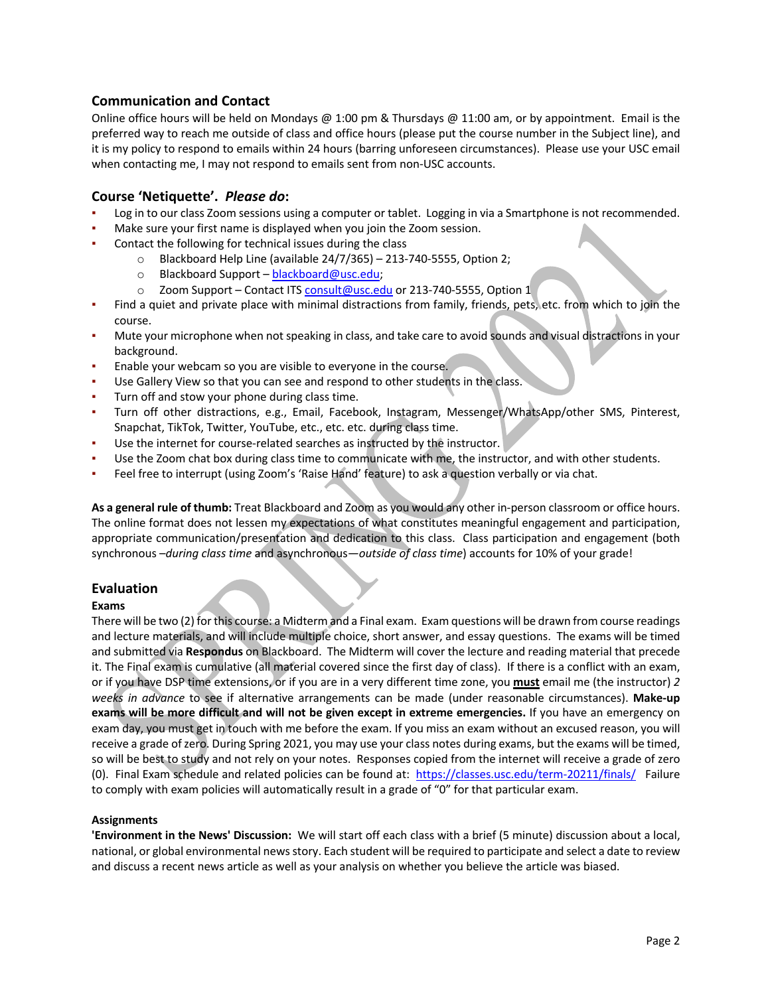# **Communication and Contact**

Online office hours will be held on Mondays @ 1:00 pm & Thursdays @ 11:00 am, or by appointment. Email is the preferred way to reach me outside of class and office hours (please put the course number in the Subject line), and it is my policy to respond to emails within 24 hours (barring unforeseen circumstances). Please use your USC email when contacting me, I may not respond to emails sent from non-USC accounts.

# **Course 'Netiquette'.** *Please do***:**

- Log in to our class Zoom sessions using a computer or tablet. Logging in via a Smartphone is not recommended.
- Make sure your first name is displayed when you join the Zoom session.
- Contact the following for technical issues during the class
	- o Blackboard Help Line (available 24/7/365) 213-740-5555, Option 2;
	- o Blackboard Support blackboard@usc.edu;
	- o Zoom Support Contact ITS consult@usc.edu or 213-740-5555, Option 1
- Find a quiet and private place with minimal distractions from family, friends, pets, etc. from which to join the course.
- Mute your microphone when not speaking in class, and take care to avoid sounds and visual distractions in your background.
- Enable your webcam so you are visible to everyone in the course.
- Use Gallery View so that you can see and respond to other students in the class.
- Turn off and stow your phone during class time.
- Turn off other distractions, e.g., Email, Facebook, Instagram, Messenger/WhatsApp/other SMS, Pinterest, Snapchat, TikTok, Twitter, YouTube, etc., etc. etc. during class time.
- Use the internet for course-related searches as instructed by the instructor.
- Use the Zoom chat box during class time to communicate with me, the instructor, and with other students.
- Feel free to interrupt (using Zoom's 'Raise Hand' feature) to ask a question verbally or via chat.

**As a general rule of thumb:** Treat Blackboard and Zoom as you would any other in-person classroom or office hours. The online format does not lessen my expectations of what constitutes meaningful engagement and participation, appropriate communication/presentation and dedication to this class. Class participation and engagement (both synchronous –*during class time* and asynchronous—*outside of class time*) accounts for 10% of your grade!

# **Evaluation**

#### **Exams**

There will be two (2) for this course: a Midterm and a Final exam. Exam questions will be drawn from course readings and lecture materials, and will include multiple choice, short answer, and essay questions. The exams will be timed and submitted via **Respondus** on Blackboard. The Midterm will cover the lecture and reading material that precede it. The Final exam is cumulative (all material covered since the first day of class). If there is a conflict with an exam, or if you have DSP time extensions, or if you are in a very different time zone, you **must** email me (the instructor) *2 weeks in advance* to see if alternative arrangements can be made (under reasonable circumstances). **Make-up exams will be more difficult and will not be given except in extreme emergencies.** If you have an emergency on exam day, you must get in touch with me before the exam. If you miss an exam without an excused reason, you will receive a grade of zero. During Spring 2021, you may use your class notes during exams, but the exams will be timed, so will be best to study and not rely on your notes. Responses copied from the internet will receive a grade of zero (0). Final Exam schedule and related policies can be found at: https://classes.usc.edu/term-20211/finals/ Failure to comply with exam policies will automatically result in a grade of "0" for that particular exam.

#### **Assignments**

**'Environment in the News' Discussion:** We will start off each class with a brief (5 minute) discussion about a local, national, or global environmental news story. Each student will be required to participate and select a date to review and discuss a recent news article as well as your analysis on whether you believe the article was biased.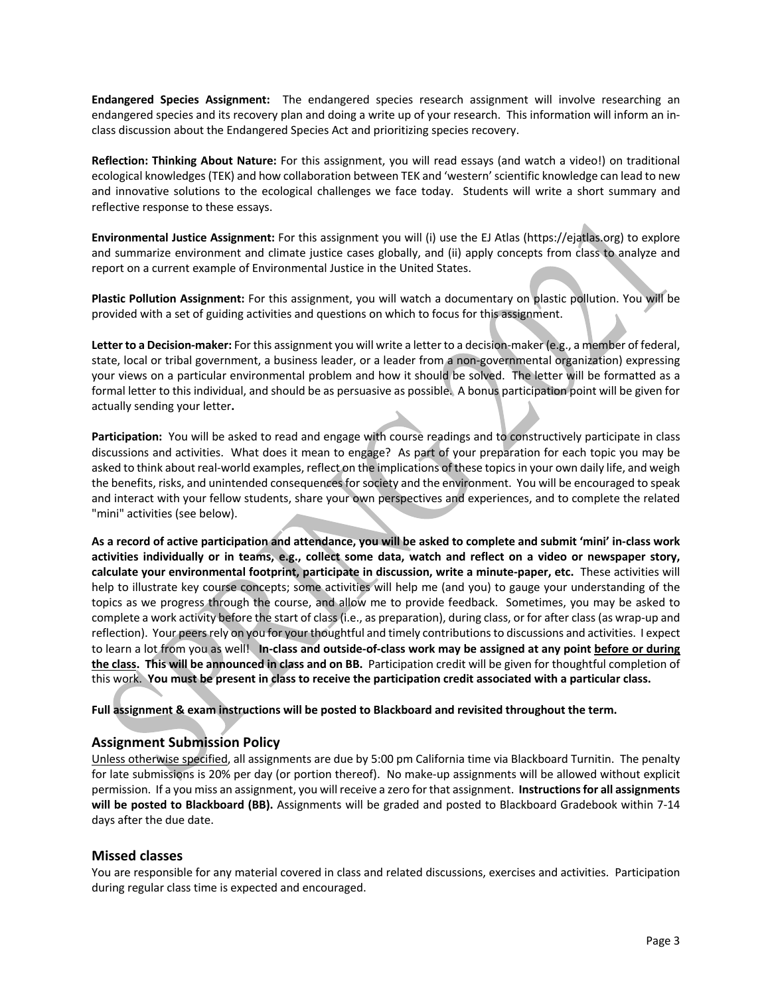**Endangered Species Assignment:** The endangered species research assignment will involve researching an endangered species and its recovery plan and doing a write up of your research. This information will inform an inclass discussion about the Endangered Species Act and prioritizing species recovery.

**Reflection: Thinking About Nature:** For this assignment, you will read essays (and watch a video!) on traditional ecological knowledges (TEK) and how collaboration between TEK and 'western' scientific knowledge can lead to new and innovative solutions to the ecological challenges we face today. Students will write a short summary and reflective response to these essays.

**Environmental Justice Assignment:** For this assignment you will (i) use the EJ Atlas (https://ejatlas.org) to explore and summarize environment and climate justice cases globally, and (ii) apply concepts from class to analyze and report on a current example of Environmental Justice in the United States.

**Plastic Pollution Assignment:** For this assignment, you will watch a documentary on plastic pollution. You will be provided with a set of guiding activities and questions on which to focus for this assignment.

**Letter to a Decision-maker:** For this assignment you will write a letter to a decision-maker (e.g., a member of federal, state, local or tribal government, a business leader, or a leader from a non-governmental organization) expressing your views on a particular environmental problem and how it should be solved. The letter will be formatted as a formal letter to this individual, and should be as persuasive as possible. A bonus participation point will be given for actually sending your letter**.**

**Participation:** You will be asked to read and engage with course readings and to constructively participate in class discussions and activities. What does it mean to engage? As part of your preparation for each topic you may be asked to think about real-world examples, reflect on the implications of these topics in your own daily life, and weigh the benefits, risks, and unintended consequences for society and the environment. You will be encouraged to speak and interact with your fellow students, share your own perspectives and experiences, and to complete the related "mini" activities (see below).

**As a record of active participation and attendance, you will be asked to complete and submit 'mini' in-class work activities individually or in teams, e.g., collect some data, watch and reflect on a video or newspaper story, calculate your environmental footprint, participate in discussion, write a minute-paper, etc.** These activities will help to illustrate key course concepts; some activities will help me (and you) to gauge your understanding of the topics as we progress through the course, and allow me to provide feedback. Sometimes, you may be asked to complete a work activity before the start of class (i.e., as preparation), during class, or for after class (as wrap-up and reflection). Your peers rely on you for your thoughtful and timely contributions to discussions and activities. I expect to learn a lot from you as well! **In-class and outside-of-class work may be assigned at any point before or during the class. This will be announced in class and on BB.** Participation credit will be given for thoughtful completion of this work. **You must be present in class to receive the participation credit associated with a particular class.**

**Full assignment & exam instructions will be posted to Blackboard and revisited throughout the term.** 

# **Assignment Submission Policy**

Unless otherwise specified, all assignments are due by 5:00 pm California time via Blackboard Turnitin. The penalty for late submissions is 20% per day (or portion thereof). No make-up assignments will be allowed without explicit permission. If a you miss an assignment, you will receive a zero for that assignment. **Instructions for all assignments will be posted to Blackboard (BB).** Assignments will be graded and posted to Blackboard Gradebook within 7-14 days after the due date.

#### **Missed classes**

You are responsible for any material covered in class and related discussions, exercises and activities. Participation during regular class time is expected and encouraged.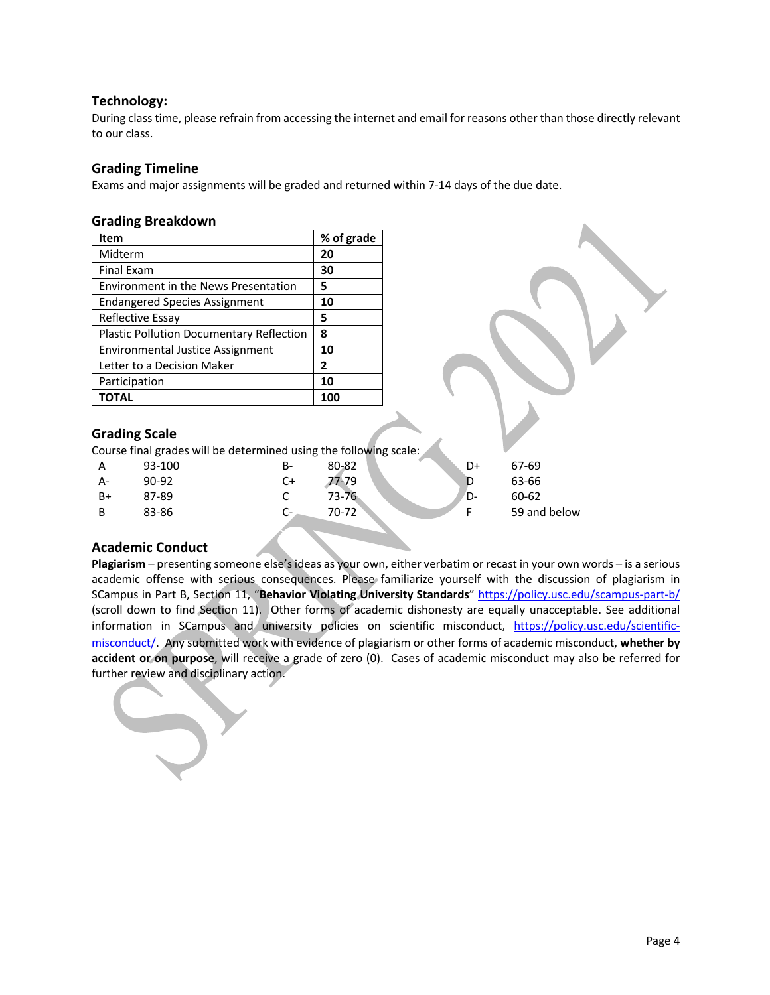# **Technology:**

During class time, please refrain from accessing the internet and email for reasons other than those directly relevant to our class.

# **Grading Timeline**

Exams and major assignments will be graded and returned within 7-14 days of the due date.

#### **Grading Breakdown**

| Item                                            | % of grade   |
|-------------------------------------------------|--------------|
| Midterm                                         | 20           |
| <b>Final Exam</b>                               | 30           |
| <b>Environment in the News Presentation</b>     | 5            |
| <b>Endangered Species Assignment</b>            | 10           |
| Reflective Essay                                | 5            |
| <b>Plastic Pollution Documentary Reflection</b> | 8            |
| <b>Environmental Justice Assignment</b>         | 10           |
| Letter to a Decision Maker                      | $\mathbf{2}$ |
| Participation                                   | 10           |
| <b>TOTAL</b>                                    | 100          |

# **Grading Scale**

Course final grades will be determined using the following scale:

| A  | 93-100 | B-                        | 80-82 | o<br>D+ | 67-69        |
|----|--------|---------------------------|-------|---------|--------------|
| A- | 90-92  | C+                        | 77-79 |         | 63-66        |
| B+ | 87-89  |                           | 73-76 | D-      | 60-62        |
| В  | 83-86  | $\mathbf{C}^{\mathsf{m}}$ | 70-72 |         | 59 and below |
|    |        |                           |       |         |              |

# **Academic Conduct**

**Plagiarism** – presenting someone else's ideas as your own, either verbatim or recast in your own words – is a serious academic offense with serious consequences. Please familiarize yourself with the discussion of plagiarism in SCampus in Part B, Section 11, "**Behavior Violating University Standards**" https://policy.usc.edu/scampus-part-b/ (scroll down to find Section 11). Other forms of academic dishonesty are equally unacceptable. See additional information in SCampus and university policies on scientific misconduct, https://policy.usc.edu/scientificmisconduct/. Any submitted work with evidence of plagiarism or other forms of academic misconduct, **whether by accident or on purpose**, will receive a grade of zero (0). Cases of academic misconduct may also be referred for further review and disciplinary action.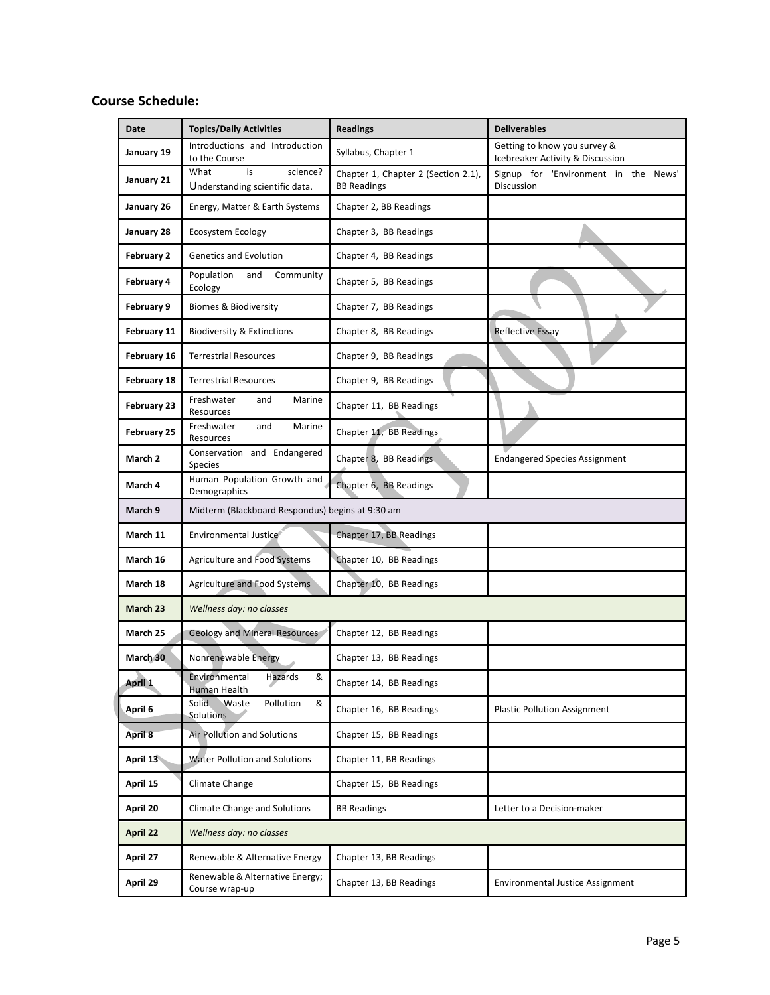# **Course Schedule:**

| Date               | <b>Topics/Daily Activities</b>                           | <b>Readings</b>                                           | <b>Deliverables</b>                                              |  |  |
|--------------------|----------------------------------------------------------|-----------------------------------------------------------|------------------------------------------------------------------|--|--|
| January 19         | Introductions and Introduction<br>to the Course          | Syllabus, Chapter 1                                       | Getting to know you survey &<br>Icebreaker Activity & Discussion |  |  |
| January 21         | What<br>is<br>science?<br>Understanding scientific data. | Chapter 1, Chapter 2 (Section 2.1),<br><b>BB Readings</b> | Signup for 'Environment in the News'<br>Discussion               |  |  |
| January 26         | Energy, Matter & Earth Systems                           | Chapter 2, BB Readings                                    |                                                                  |  |  |
| January 28         | <b>Ecosystem Ecology</b>                                 | Chapter 3, BB Readings                                    |                                                                  |  |  |
| February 2         | <b>Genetics and Evolution</b>                            | Chapter 4, BB Readings                                    |                                                                  |  |  |
| February 4         | Population<br>Community<br>and<br>Ecology                | Chapter 5, BB Readings                                    |                                                                  |  |  |
| February 9         | <b>Biomes &amp; Biodiversity</b>                         | Chapter 7, BB Readings                                    |                                                                  |  |  |
| February 11        | <b>Biodiversity &amp; Extinctions</b>                    | Chapter 8, BB Readings                                    | <b>Reflective Essay</b>                                          |  |  |
| February 16        | <b>Terrestrial Resources</b>                             | Chapter 9, BB Readings                                    |                                                                  |  |  |
| February 18        | <b>Terrestrial Resources</b>                             | Chapter 9, BB Readings                                    |                                                                  |  |  |
| February 23        | Marine<br>Freshwater<br>and<br>Resources                 | Chapter 11, BB Readings                                   |                                                                  |  |  |
| February 25        | Marine<br>Freshwater<br>and<br>Resources                 | Chapter 11, BB Readings                                   |                                                                  |  |  |
| March <sub>2</sub> | Conservation and Endangered<br>Species                   | Chapter 8, BB Readings                                    | <b>Endangered Species Assignment</b>                             |  |  |
| March 4            | Human Population Growth and<br>Demographics              | Chapter 6, BB Readings                                    |                                                                  |  |  |
| March 9            | Midterm (Blackboard Respondus) begins at 9:30 am         |                                                           |                                                                  |  |  |
| March 11           | Environmental Justice                                    | Chapter 17, BB Readings                                   |                                                                  |  |  |
| March 16           | Agriculture and Food Systems                             | Chapter 10, BB Readings                                   |                                                                  |  |  |
| March 18           | Agriculture and Food Systems                             | Chapter 10, BB Readings                                   |                                                                  |  |  |
| March 23           | Wellness day: no classes                                 |                                                           |                                                                  |  |  |
| March 25           | <b>Geology and Mineral Resources</b>                     | Chapter 12, BB Readings                                   |                                                                  |  |  |
| March 30           | Nonrenewable Energy                                      | Chapter 13, BB Readings                                   |                                                                  |  |  |
| April 1            | Environmental<br>Hazards<br>&<br><b>Human Health</b>     | Chapter 14, BB Readings                                   |                                                                  |  |  |
| April 6            | Solid.<br>&<br>Waste<br>Pollution<br><b>Solutions</b>    | Chapter 16, BB Readings                                   | <b>Plastic Pollution Assignment</b>                              |  |  |
| April 8            | <b>Air Pollution and Solutions</b>                       | Chapter 15, BB Readings                                   |                                                                  |  |  |
| April 13           | <b>Water Pollution and Solutions</b>                     | Chapter 11, BB Readings                                   |                                                                  |  |  |
| April 15           | Climate Change                                           | Chapter 15, BB Readings                                   |                                                                  |  |  |
| April 20           | <b>Climate Change and Solutions</b>                      | <b>BB Readings</b>                                        | Letter to a Decision-maker                                       |  |  |
| April 22           | Wellness day: no classes                                 |                                                           |                                                                  |  |  |
| April 27           | Renewable & Alternative Energy                           | Chapter 13, BB Readings                                   |                                                                  |  |  |
| April 29           | Renewable & Alternative Energy;<br>Course wrap-up        | Chapter 13, BB Readings                                   | <b>Environmental Justice Assignment</b>                          |  |  |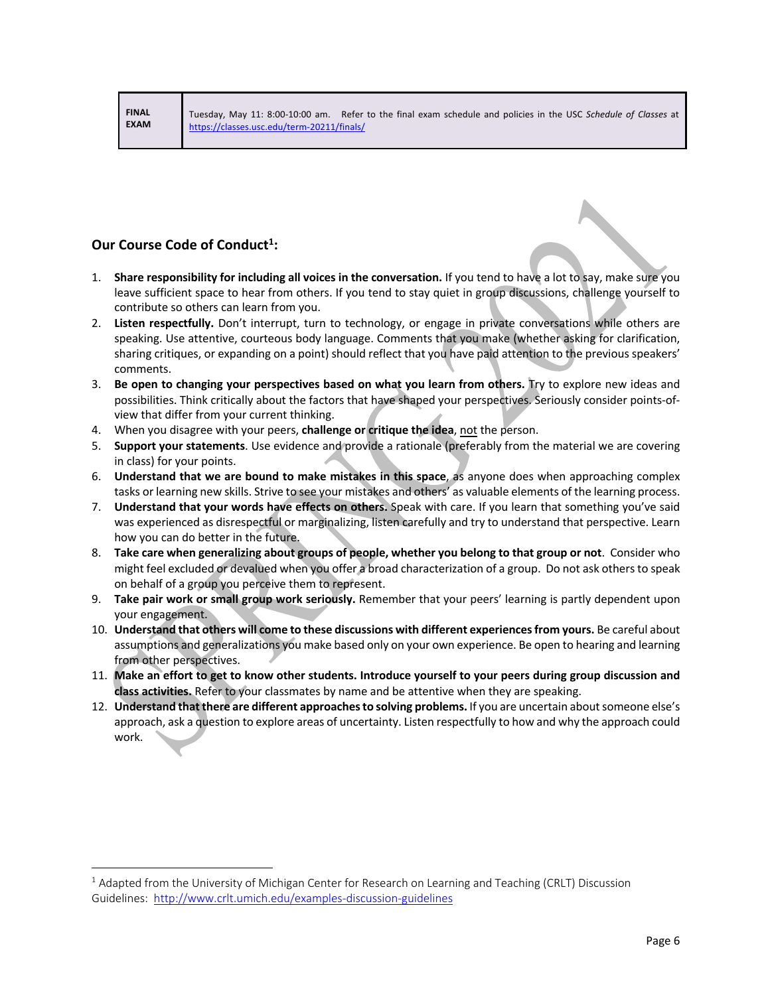**FINAL EXAM**

# **Our Course Code of Conduct<sup>1</sup>:**

- 1. **Share responsibility for including all voices in the conversation.** If you tend to have a lot to say, make sure you leave sufficient space to hear from others. If you tend to stay quiet in group discussions, challenge yourself to contribute so others can learn from you.
- 2. **Listen respectfully.** Don't interrupt, turn to technology, or engage in private conversations while others are speaking. Use attentive, courteous body language. Comments that you make (whether asking for clarification, sharing critiques, or expanding on a point) should reflect that you have paid attention to the previous speakers' comments.
- 3. **Be open to changing your perspectives based on what you learn from others.** Try to explore new ideas and possibilities. Think critically about the factors that have shaped your perspectives. Seriously consider points-ofview that differ from your current thinking.
- 4. When you disagree with your peers, **challenge or critique the idea**, not the person.
- 5. **Support your statements**. Use evidence and provide a rationale (preferably from the material we are covering in class) for your points.
- 6. **Understand that we are bound to make mistakes in this space**, as anyone does when approaching complex tasks or learning new skills. Strive to see your mistakes and others' as valuable elements of the learning process.
- 7. **Understand that your words have effects on others.** Speak with care. If you learn that something you've said was experienced as disrespectful or marginalizing, listen carefully and try to understand that perspective. Learn how you can do better in the future.
- 8. **Take care when generalizing about groups of people, whether you belong to that group or not**. Consider who might feel excluded or devalued when you offer a broad characterization of a group. Do not ask others to speak on behalf of a group you perceive them to represent.
- 9. **Take pair work or small group work seriously.** Remember that your peers' learning is partly dependent upon your engagement.
- 10. **Understand that others will come to these discussions with different experiences from yours.** Be careful about assumptions and generalizations you make based only on your own experience. Be open to hearing and learning from other perspectives.
- 11. **Make an effort to get to know other students. Introduce yourself to your peers during group discussion and class activities.** Refer to your classmates by name and be attentive when they are speaking.
- 12. **Understand that there are different approaches to solving problems.** If you are uncertain about someone else's approach, ask a question to explore areas of uncertainty. Listen respectfully to how and why the approach could work.

 $1$  Adapted from the University of Michigan Center for Research on Learning and Teaching (CRLT) Discussion Guidelines: http://www.crlt.umich.edu/examples-discussion-guidelines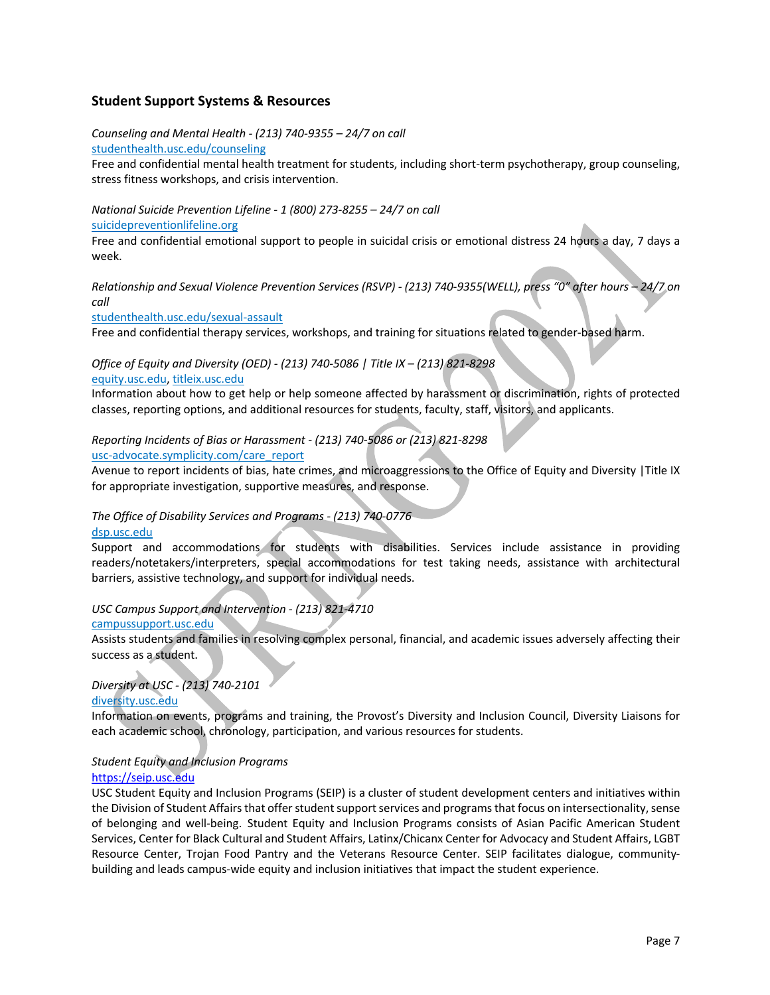# **Student Support Systems & Resources**

*Counseling and Mental Health - (213) 740-9355 – 24/7 on call*

studenthealth.usc.edu/counseling

Free and confidential mental health treatment for students, including short-term psychotherapy, group counseling, stress fitness workshops, and crisis intervention.

*National Suicide Prevention Lifeline - 1 (800) 273-8255 – 24/7 on call*

suicidepreventionlifeline.org

Free and confidential emotional support to people in suicidal crisis or emotional distress 24 hours a day, 7 days a week.

*Relationship and Sexual Violence Prevention Services (RSVP) - (213) 740-9355(WELL), press "0" after hours – 24/7 on call*

studenthealth.usc.edu/sexual-assault

Free and confidential therapy services, workshops, and training for situations related to gender-based harm.

#### *Office of Equity and Diversity (OED) - (213) 740-5086 | Title IX – (213) 821-8298* equity.usc.edu, titleix.usc.edu

Information about how to get help or help someone affected by harassment or discrimination, rights of protected classes, reporting options, and additional resources for students, faculty, staff, visitors, and applicants.

# *Reporting Incidents of Bias or Harassment - (213) 740-5086 or (213) 821-8298*

usc-advocate.symplicity.com/care\_report

Avenue to report incidents of bias, hate crimes, and microaggressions to the Office of Equity and Diversity |Title IX for appropriate investigation, supportive measures, and response.

# *The Office of Disability Services and Programs - (213) 740-0776*

#### dsp.usc.edu

Support and accommodations for students with disabilities. Services include assistance in providing readers/notetakers/interpreters, special accommodations for test taking needs, assistance with architectural barriers, assistive technology, and support for individual needs.

# *USC Campus Support and Intervention - (213) 821-4710*

#### campussupport.usc.edu

Assists students and families in resolving complex personal, financial, and academic issues adversely affecting their success as a student.

# *Diversity at USC - (213) 740-2101*

diversity.usc.edu

Information on events, programs and training, the Provost's Diversity and Inclusion Council, Diversity Liaisons for each academic school, chronology, participation, and various resources for students.

#### *Student Equity and Inclusion Programs*  https://seip.usc.edu

USC Student Equity and Inclusion Programs (SEIP) is a cluster of student development centers and initiatives within the Division of Student Affairs that offer student support services and programs that focus on intersectionality, sense of belonging and well-being. Student Equity and Inclusion Programs consists of Asian Pacific American Student Services, Center for Black Cultural and Student Affairs, Latinx/Chicanx Center for Advocacy and Student Affairs, LGBT Resource Center, Trojan Food Pantry and the Veterans Resource Center. SEIP facilitates dialogue, communitybuilding and leads campus-wide equity and inclusion initiatives that impact the student experience.